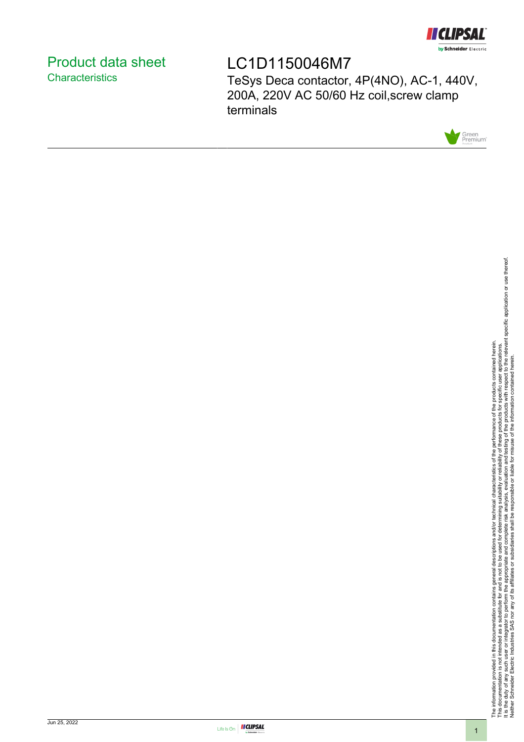

# <span id="page-0-0"></span>Product data sheet **Characteristics**

# LC1D1150046M7

TeSys Deca contactor, 4P(4NO), AC-1, 440V, 200A, 220V AC 50/60 Hz coil,screw clamp terminals



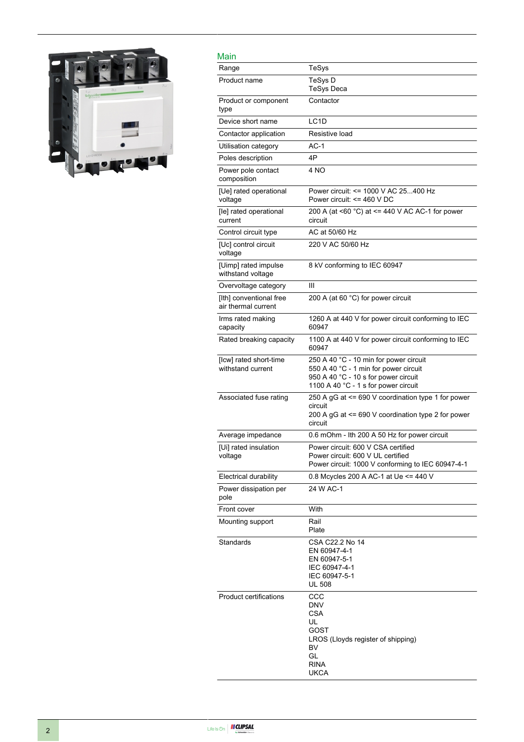

| Main                                           |                                                                                                                                                                 |
|------------------------------------------------|-----------------------------------------------------------------------------------------------------------------------------------------------------------------|
| Range                                          | TeSys                                                                                                                                                           |
| Product name                                   | TeSys D<br><b>TeSys Deca</b>                                                                                                                                    |
| Product or component<br>type                   | Contactor                                                                                                                                                       |
| Device short name                              | LC <sub>1</sub> D                                                                                                                                               |
| Contactor application                          | Resistive load                                                                                                                                                  |
| Utilisation category                           | $AC-1$                                                                                                                                                          |
| Poles description                              | 4P                                                                                                                                                              |
| Power pole contact<br>composition              | 4 NO                                                                                                                                                            |
| [Ue] rated operational<br>voltage              | Power circuit: <= 1000 V AC 25400 Hz<br>Power circuit: $\leq$ 460 V DC                                                                                          |
| [le] rated operational<br>current              | 200 A (at <60 $^{\circ}$ C) at <= 440 V AC AC-1 for power<br>circuit                                                                                            |
| Control circuit type                           | AC at 50/60 Hz                                                                                                                                                  |
| [Uc] control circuit<br>voltage                | 220 V AC 50/60 Hz                                                                                                                                               |
| [Uimp] rated impulse<br>withstand voltage      | 8 kV conforming to IEC 60947                                                                                                                                    |
| Overvoltage category                           | Ш                                                                                                                                                               |
| [Ith] conventional free<br>air thermal current | 200 A (at 60 °C) for power circuit                                                                                                                              |
| Irms rated making<br>capacity                  | 1260 A at 440 V for power circuit conforming to IEC<br>60947                                                                                                    |
| Rated breaking capacity                        | 1100 A at 440 V for power circuit conforming to IEC<br>60947                                                                                                    |
| [Icw] rated short-time<br>withstand current    | 250 A 40 °C - 10 min for power circuit<br>550 A 40 °C - 1 min for power circuit<br>950 A 40 °C - 10 s for power circuit<br>1100 A 40 °C - 1 s for power circuit |
| Associated fuse rating                         | 250 A gG at <= 690 V coordination type 1 for power<br>circuit<br>200 A gG at <= 690 V coordination type 2 for power<br>circuit                                  |
| Average impedance                              | 0.6 mOhm - Ith 200 A 50 Hz for power circuit                                                                                                                    |
| [Ui] rated insulation<br>voltage               | Power circuit: 600 V CSA certified<br>Power circuit: 600 V UL certified<br>Power circuit: 1000 V conforming to IEC 60947-4-1                                    |
| <b>Electrical durability</b>                   | 0.8 Mcycles 200 A AC-1 at Ue <= 440 V                                                                                                                           |
| Power dissipation per<br>pole                  | 24 W AC-1                                                                                                                                                       |
| Front cover                                    | With                                                                                                                                                            |
| Mounting support                               | Rail<br>Plate                                                                                                                                                   |
| Standards                                      | CSA C22.2 No 14<br>EN 60947-4-1<br>EN 60947-5-1<br>IEC 60947-4-1<br>IEC 60947-5-1<br><b>UL 508</b>                                                              |
| <b>Product certifications</b>                  | CCC<br>DNV<br>CSA<br>UL<br>GOST<br>LROS (Lloyds register of shipping)<br>BV<br>GL<br><b>RINA</b><br><b>UKCA</b>                                                 |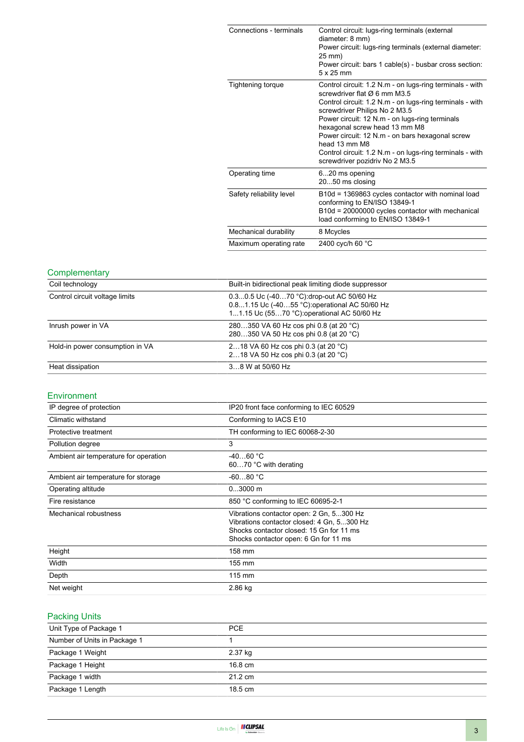| Connections - terminals  | Control circuit: lugs-ring terminals (external<br>diameter: 8 mm)<br>Power circuit: lugs-ring terminals (external diameter:<br>25 mm)<br>Power circuit: bars 1 cable(s) - busbar cross section:<br>$5 \times 25$ mm                                                                                                                                                                                                                        |
|--------------------------|--------------------------------------------------------------------------------------------------------------------------------------------------------------------------------------------------------------------------------------------------------------------------------------------------------------------------------------------------------------------------------------------------------------------------------------------|
| Tightening torque        | Control circuit: 1.2 N.m - on lugs-ring terminals - with<br>screwdriver flat Ø 6 mm M3.5<br>Control circuit: 1.2 N.m - on lugs-ring terminals - with<br>screwdriver Philips No 2 M3.5<br>Power circuit: 12 N.m - on lugs-ring terminals<br>hexagonal screw head 13 mm M8<br>Power circuit: 12 N.m - on bars hexagonal screw<br>head 13 mm M8<br>Control circuit: 1.2 N.m - on lugs-ring terminals - with<br>screwdriver pozidriv No 2 M3.5 |
| Operating time           | 620 ms opening<br>2050 ms closing                                                                                                                                                                                                                                                                                                                                                                                                          |
| Safety reliability level | B10d = 1369863 cycles contactor with nominal load<br>conforming to EN/ISO 13849-1<br>B10d = 20000000 cycles contactor with mechanical<br>load conforming to EN/ISO 13849-1                                                                                                                                                                                                                                                                 |
| Mechanical durability    | 8 Mcycles                                                                                                                                                                                                                                                                                                                                                                                                                                  |
| Maximum operating rate   | 2400 cyc/h 60 °C                                                                                                                                                                                                                                                                                                                                                                                                                           |

## **Complementary**

| Coil technology                 | Built-in bidirectional peak limiting diode suppressor                                                                                     |  |
|---------------------------------|-------------------------------------------------------------------------------------------------------------------------------------------|--|
| Control circuit voltage limits  | 0.30.5 Uc (-4070 °C) drop-out AC 50/60 Hz<br>0.81.15 Uc (-4055 °C) operational AC 50/60 Hz<br>11.15 Uc (5570 °C): operational AC 50/60 Hz |  |
| Inrush power in VA              | 280350 VA 60 Hz cos phi 0.8 (at 20 °C)<br>280350 VA 50 Hz cos phi 0.8 (at 20 °C)                                                          |  |
| Hold-in power consumption in VA | 218 VA 60 Hz cos phi 0.3 (at 20 °C)<br>218 VA 50 Hz cos phi 0.3 (at 20 °C)                                                                |  |
| Heat dissipation                | 38 W at 50/60 Hz                                                                                                                          |  |

#### Environment

| IP degree of protection               | IP20 front face conforming to IEC 60529                                                                                                                                     |
|---------------------------------------|-----------------------------------------------------------------------------------------------------------------------------------------------------------------------------|
| Climatic withstand                    | Conforming to IACS E10                                                                                                                                                      |
| Protective treatment                  | TH conforming to IEC 60068-2-30                                                                                                                                             |
| Pollution degree                      | 3                                                                                                                                                                           |
| Ambient air temperature for operation | $-4060 °C$<br>6070 °C with derating                                                                                                                                         |
| Ambient air temperature for storage   | $-6080 °C$                                                                                                                                                                  |
| Operating altitude                    | $03000$ m                                                                                                                                                                   |
| Fire resistance                       | 850 °C conforming to IEC 60695-2-1                                                                                                                                          |
| Mechanical robustness                 | Vibrations contactor open: 2 Gn, 5300 Hz<br>Vibrations contactor closed: 4 Gn, 5300 Hz<br>Shocks contactor closed: 15 Gn for 11 ms<br>Shocks contactor open: 6 Gn for 11 ms |
| Height                                | 158 mm                                                                                                                                                                      |
| Width                                 | 155 mm                                                                                                                                                                      |
| Depth                                 | $115 \text{ mm}$                                                                                                                                                            |
| Net weight                            | 2.86 kg                                                                                                                                                                     |

### Packing Units

| 1.491119.0110                |                   |  |
|------------------------------|-------------------|--|
| Unit Type of Package 1       | PCE.              |  |
| Number of Units in Package 1 |                   |  |
| Package 1 Weight             | 2.37 kg           |  |
| Package 1 Height             | 16.8 cm           |  |
| Package 1 width              | $21.2 \text{ cm}$ |  |
| Package 1 Length             | $18.5 \text{ cm}$ |  |
|                              |                   |  |